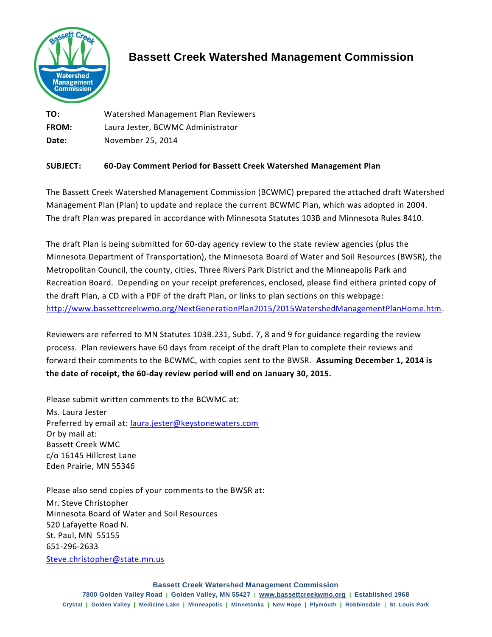

## **Bassett Creek Watershed Management Commission**

**TO:** Watershed Management Plan Reviewers **FROM:** Laura Jester, BCWMC Administrator **Date:** November 25, 2014

## **SUBJECT: 60-Day Comment Period for Bassett Creek Watershed Management Plan**

The Bassett Creek Watershed Management Commission (BCWMC) prepared the attached draft Watershed Management Plan (Plan) to update and replace the current BCWMC Plan, which was adopted in 2004. The draft Plan was prepared in accordance with Minnesota Statutes 103B and Minnesota Rules 8410.

The draft Plan is being submitted for 60-day agency review to the state review agencies (plus the Minnesota Department of Transportation), the Minnesota Board of Water and Soil Resources (BWSR), the Metropolitan Council, the county, cities, Three Rivers Park District and the Minneapolis Park and Recreation Board. Depending on your receipt preferences, enclosed, please find eithera printed copy of the draft Plan, a CD with a PDF of the draft Plan, or links to plan sections on this webpage: [http://www.bassettcreekwmo.org/NextGenerationPlan2015/2015WatershedManagementPlanHome.htm.](http://www.bassettcreekwmo.org/NextGenerationPlan2015/2015WatershedManagementPlanHome.htm)

Reviewers are referred to MN Statutes 103B.231, Subd. 7, 8 and 9 for guidance regarding the review process. Plan reviewers have 60 days from receipt of the draft Plan to complete their reviews and forward their comments to the BCWMC, with copies sent to the BWSR. **Assuming December 1, 2014 is the date of receipt, the 60-day review period will end on January 30, 2015.** 

Please submit written comments to the BCWMC at:

Ms. Laura Jester Preferred by email at: [laura.jester@keystonewaters.com](mailto:laura.jester@keystonewaters.com) Or by mail at: Bassett Creek WMC c/o 16145 Hillcrest Lane Eden Prairie, MN 55346

Please also send copies of your comments to the BWSR at:

Mr. Steve Christopher Minnesota Board of Water and Soil Resources 520 Lafayette Road N. St. Paul, MN 55155 651-296-2633 [Steve.christopher@state.mn.us](mailto:Steve.christopher@state.mn.us)